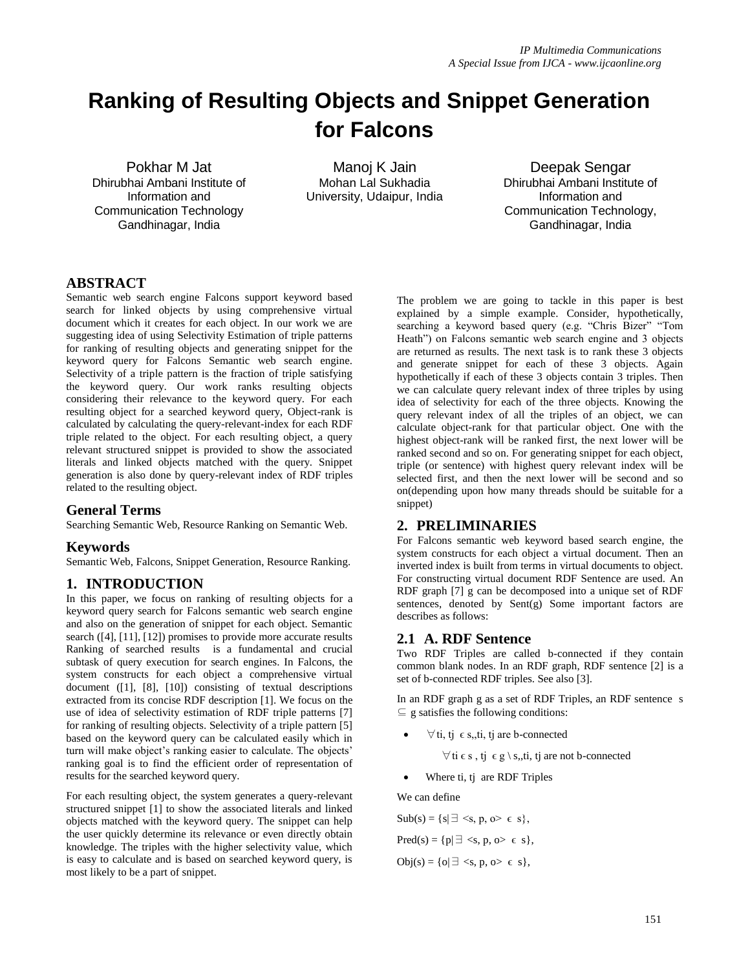# **Ranking of Resulting Objects and Snippet Generation for Falcons**

Pokhar M Jat Dhirubhai Ambani Institute of Information and Communication Technology Gandhinagar, India

Manoj K Jain Mohan Lal Sukhadia University, Udaipur, India

Deepak Sengar Dhirubhai Ambani Institute of Information and Communication Technology, Gandhinagar, India

# **ABSTRACT**

Semantic web search engine Falcons support keyword based search for linked objects by using comprehensive virtual document which it creates for each object. In our work we are suggesting idea of using Selectivity Estimation of triple patterns for ranking of resulting objects and generating snippet for the keyword query for Falcons Semantic web search engine. Selectivity of a triple pattern is the fraction of triple satisfying the keyword query. Our work ranks resulting objects considering their relevance to the keyword query. For each resulting object for a searched keyword query, Object-rank is calculated by calculating the query-relevant-index for each RDF triple related to the object. For each resulting object, a query relevant structured snippet is provided to show the associated literals and linked objects matched with the query. Snippet generation is also done by query-relevant index of RDF triples related to the resulting object.

# **General Terms**

Searching Semantic Web, Resource Ranking on Semantic Web.

#### **Keywords**

Semantic Web, Falcons, Snippet Generation, Resource Ranking.

# **1. INTRODUCTION**

In this paper, we focus on ranking of resulting objects for a keyword query search for Falcons semantic web search engine and also on the generation of snippet for each object. Semantic search ([4], [11], [12]) promises to provide more accurate results Ranking of searched results is a fundamental and crucial subtask of query execution for search engines. In Falcons, the system constructs for each object a comprehensive virtual document ([1], [8], [10]) consisting of textual descriptions extracted from its concise RDF description [1]. We focus on the use of idea of selectivity estimation of RDF triple patterns [7] for ranking of resulting objects. Selectivity of a triple pattern [5] based on the keyword query can be calculated easily which in turn will make object's ranking easier to calculate. The objects' ranking goal is to find the efficient order of representation of results for the searched keyword query.

For each resulting object, the system generates a query-relevant structured snippet [1] to show the associated literals and linked objects matched with the keyword query. The snippet can help the user quickly determine its relevance or even directly obtain knowledge. The triples with the higher selectivity value, which is easy to calculate and is based on searched keyword query, is most likely to be a part of snippet.

The problem we are going to tackle in this paper is best explained by a simple example. Consider, hypothetically, searching a keyword based query (e.g. "Chris Bizer" "Tom Heath") on Falcons semantic web search engine and 3 objects are returned as results. The next task is to rank these 3 objects and generate snippet for each of these 3 objects. Again hypothetically if each of these 3 objects contain 3 triples. Then we can calculate query relevant index of three triples by using idea of selectivity for each of the three objects. Knowing the query relevant index of all the triples of an object, we can calculate object-rank for that particular object. One with the highest object-rank will be ranked first, the next lower will be ranked second and so on. For generating snippet for each object, triple (or sentence) with highest query relevant index will be selected first, and then the next lower will be second and so on(depending upon how many threads should be suitable for a snippet)

# **2. PRELIMINARIES**

For Falcons semantic web keyword based search engine, the system constructs for each object a virtual document. Then an inverted index is built from terms in virtual documents to object. For constructing virtual document RDF Sentence are used. An RDF graph [7] g can be decomposed into a unique set of RDF sentences, denoted by Sent(g) Some important factors are describes as follows:

# **2.1 A. RDF Sentence**

Two RDF Triples are called b-connected if they contain common blank nodes. In an RDF graph, RDF sentence [2] is a set of b-connected RDF triples. See also [3].

In an RDF graph g as a set of RDF Triples, an RDF sentence s  $\subseteq$  g satisfies the following conditions:

 $\forall$  ti, tj  $\in$  s,, ti, tj are b-connected

 $\forall$  ti  $\in$  s, tj  $\in$  g \ s,, ti, tj are not b-connected

Where ti, tj are RDF Triples

We can define

$$
Sub(s) = \{s | \exists \leq s, p, o \geq \varepsilon s\},\
$$

 $Pred(s) = \{ p | \exists \langle s, p, o \rangle \in s \},$ 

Obj $(s) = \{o | \exists \langle s, p, o \rangle \in s\},\$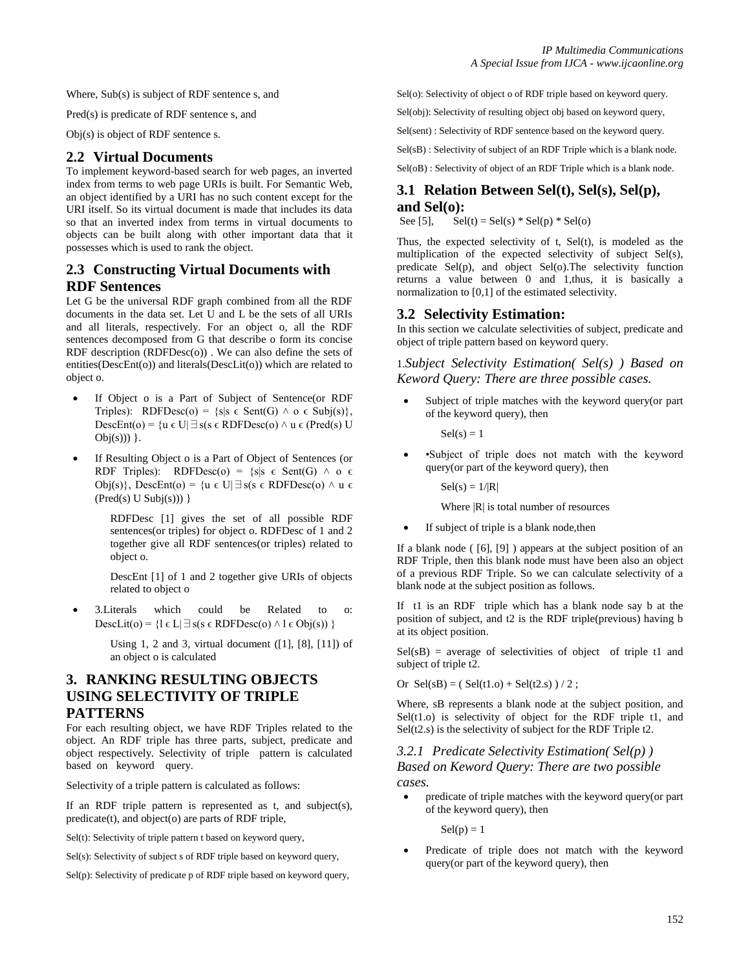Where, Sub(s) is subject of RDF sentence s, and

Pred(s) is predicate of RDF sentence s, and

Obj(s) is object of RDF sentence s.

#### **2.2 Virtual Documents**

To implement keyword-based search for web pages, an inverted index from terms to web page URIs is built. For Semantic Web, an object identified by a URI has no such content except for the URI itself. So its virtual document is made that includes its data so that an inverted index from terms in virtual documents to objects can be built along with other important data that it possesses which is used to rank the object.

# **2.3 Constructing Virtual Documents with RDF Sentences**

Let G be the universal RDF graph combined from all the RDF documents in the data set. Let U and L be the sets of all URIs and all literals, respectively. For an object o, all the RDF sentences decomposed from G that describe o form its concise RDF description (RDFDesc(o)) . We can also define the sets of entities(DescEnt(o)) and literals(DescLit(o)) which are related to object o.

- If Object o is a Part of Subject of Sentence(or RDF Triples): RDFDesc(o) =  $\{s | s \in \text{Sent}(G) \land o \in \text{Subj}(s)\}\$ , DescEnt(o) = {u ∈ U|∃s(s ∈ RDFDesc(o)  $\land$  u ∈ (Pred(s) U  $Obj(s))$  }.
- If Resulting Object o is a Part of Object of Sentences (or RDF Triples): RDFDesc(o) =  $\{s | s \in \text{Sent}(G) \land o \in \}$ Obj(s)}, DescEnt(o) = {u ∈ U| $\exists$  s(s ∈ RDFDesc(o)  $\land$  u ∈  $(Pred(s) U Subj(s)))$ }

RDFDesc [1] gives the set of all possible RDF sentences(or triples) for object o. RDFDesc of 1 and 2 together give all RDF sentences(or triples) related to object o.

DescEnt [1] of 1 and 2 together give URIs of objects related to object o

 3.Literals which could be Related to o: DescLit(o) = {l ∈ L $\exists s(s \in RDFDesc(o) \land l \in Obj(s))$  }

> Using 1, 2 and 3, virtual document ([1], [8], [11]) of an object o is calculated

# **3. RANKING RESULTING OBJECTS USING SELECTIVITY OF TRIPLE PATTERNS**

For each resulting object, we have RDF Triples related to the object. An RDF triple has three parts, subject, predicate and object respectively. Selectivity of triple pattern is calculated based on keyword query.

Selectivity of a triple pattern is calculated as follows:

If an RDF triple pattern is represented as t, and subject(s), predicate(t), and object(o) are parts of RDF triple,

 $Sel(t)$ : Selectivity of triple pattern t based on keyword query,

Sel(s): Selectivity of subject s of RDF triple based on keyword query,

Sel(p): Selectivity of predicate p of RDF triple based on keyword query,

Sel(o): Selectivity of object o of RDF triple based on keyword query.

Sel(obj): Selectivity of resulting object obj based on keyword query,

Sel(sent) : Selectivity of RDF sentence based on the keyword query.

Sel(sB) : Selectivity of subject of an RDF Triple which is a blank node.

Sel(oB) : Selectivity of object of an RDF Triple which is a blank node.

# **3.1 Relation Between Sel(t), Sel(s), Sel(p), and Sel(0):**<br>See [5], Sel

 $Sel(t) = Sel(s) * Sel(p) * Sel(o)$ 

Thus, the expected selectivity of t, Sel(t), is modeled as the multiplication of the expected selectivity of subject Sel(s), predicate Sel(p), and object Sel(o).The selectivity function returns a value between 0 and 1,thus, it is basically a normalization to [0,1] of the estimated selectivity.

# **3.2 Selectivity Estimation:**

In this section we calculate selectivities of subject, predicate and object of triple pattern based on keyword query.

1.*Subject Selectivity Estimation( Sel(s) ) Based on Keword Query: There are three possible cases.*

 Subject of triple matches with the keyword query(or part of the keyword query), then

 $Sel(s) = 1$ 

 •Subject of triple does not match with the keyword query(or part of the keyword query), then

 $Sel(s) = 1/|R|$ 

Where  $|R|$  is total number of resources

If subject of triple is a blank node,then

If a blank node ( [6], [9] ) appears at the subject position of an RDF Triple, then this blank node must have been also an object of a previous RDF Triple. So we can calculate selectivity of a blank node at the subject position as follows.

If t1 is an RDF triple which has a blank node say b at the position of subject, and t2 is the RDF triple(previous) having b at its object position.

 $Sel(sB)$  = average of selectivities of object of triple t1 and subject of triple t2.

Or  $Sel(sB) = (Sel(t1.0) + Sel(t2. s)) / 2$ ;

Where, sB represents a blank node at the subject position, and  $Sel(t1.0)$  is selectivity of object for the RDF triple t1, and Sel(t2.s) is the selectivity of subject for the RDF Triple t2.

*3.2.1 Predicate Selectivity Estimation( Sel(p) ) Based on Keword Query: There are two possible cases.*

 predicate of triple matches with the keyword query(or part of the keyword query), then

 $Sel(p) = 1$ 

 Predicate of triple does not match with the keyword query(or part of the keyword query), then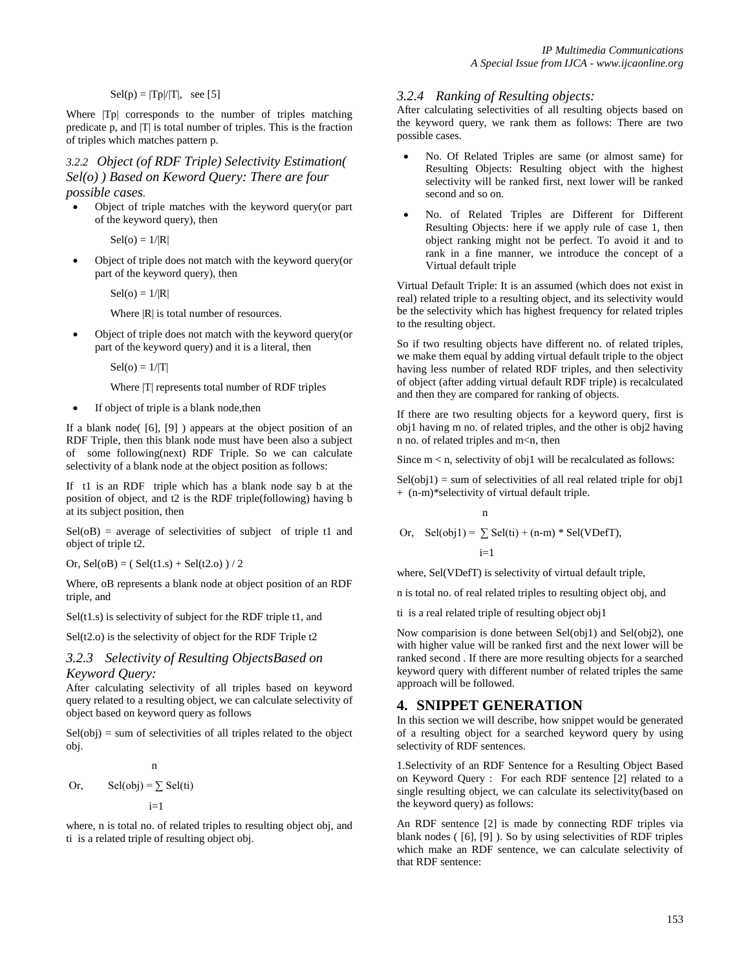#### $Sel(p) = |Tp|/|T|$ , see [5]

Where  $|Tp|$  corresponds to the number of triples matching predicate p, and |T| is total number of triples. This is the fraction of triples which matches pattern p.

*3.2.2 Object (of RDF Triple) Selectivity Estimation( Sel(o) ) Based on Keword Query: There are four possible cases.*

 Object of triple matches with the keyword query(or part of the keyword query), then

 $Sel(o) = 1/|R|$ 

 Object of triple does not match with the keyword query(or part of the keyword query), then

 $Sel(o) = 1/|R|$ 

Where  $|R|$  is total number of resources.

 Object of triple does not match with the keyword query(or part of the keyword query) and it is a literal, then

 $Sel(o) = 1/|T|$ 

Where  $|T|$  represents total number of RDF triples

If object of triple is a blank node,then

If a blank node( [6], [9] ) appears at the object position of an RDF Triple, then this blank node must have been also a subject of some following(next) RDF Triple. So we can calculate selectivity of a blank node at the object position as follows:

If t1 is an RDF triple which has a blank node say b at the position of object, and t2 is the RDF triple(following) having b at its subject position, then

 $Sel(0B)$  = average of selectivities of subject of triple t1 and object of triple t2.

Or,  $Sel(0B) = (Sel(t1.s) + Sel(t2.0)) / 2$ 

Where, oB represents a blank node at object position of an RDF triple, and

 $Self(1.s)$  is selectivity of subject for the RDF triple t1, and

 $Sel(t2.o)$  is the selectivity of object for the RDF Triple  $t2$ 

#### *3.2.3 Selectivity of Resulting ObjectsBased on Keyword Query:*

After calculating selectivity of all triples based on keyword query related to a resulting object, we can calculate selectivity of object based on keyword query as follows

 $Sel(obj) = sum of selectivities of all triples related to the object$ obj.

or, Sel(obj) = 
$$
\sum_{i=1}^{n}
$$
 Sel(ii)

where, n is total no. of related triples to resulting object obj, and ti is a related triple of resulting object obj.

#### *3.2.4 Ranking of Resulting objects:*

After calculating selectivities of all resulting objects based on the keyword query, we rank them as follows: There are two possible cases.

- No. Of Related Triples are same (or almost same) for Resulting Objects: Resulting object with the highest selectivity will be ranked first, next lower will be ranked second and so on.
- No. of Related Triples are Different for Different Resulting Objects: here if we apply rule of case 1, then object ranking might not be perfect. To avoid it and to rank in a fine manner, we introduce the concept of a Virtual default triple

Virtual Default Triple: It is an assumed (which does not exist in real) related triple to a resulting object, and its selectivity would be the selectivity which has highest frequency for related triples to the resulting object.

So if two resulting objects have different no. of related triples, we make them equal by adding virtual default triple to the object having less number of related RDF triples, and then selectivity of object (after adding virtual default RDF triple) is recalculated and then they are compared for ranking of objects.

If there are two resulting objects for a keyword query, first is obj1 having m no. of related triples, and the other is obj2 having n no. of related triples and m<n, then

Since  $m < n$ , selectivity of obj1 will be recalculated as follows:

 $Sel(obj1) = sum of selectivities of all real related triple for obj1$ + (n-m)\*selectivity of virtual default triple.

$$
\mathbf{n}^{\mathbf{m}}
$$

Or,  $\text{Sel}(\text{obj1}) = \sum \text{Sel}(\text{ti}) + (\text{n-m}) * \text{Sel}(\text{VDefT})$ ,

 $i=1$ 

where, Sel(VDefT) is selectivity of virtual default triple,

n is total no. of real related triples to resulting object obj, and

ti is a real related triple of resulting object obj1

Now comparision is done between Sel(obj1) and Sel(obj2), one with higher value will be ranked first and the next lower will be ranked second . If there are more resulting objects for a searched keyword query with different number of related triples the same approach will be followed.

# **4. SNIPPET GENERATION**

In this section we will describe, how snippet would be generated of a resulting object for a searched keyword query by using selectivity of RDF sentences.

1.Selectivity of an RDF Sentence for a Resulting Object Based on Keyword Query : For each RDF sentence [2] related to a single resulting object, we can calculate its selectivity(based on the keyword query) as follows:

An RDF sentence [2] is made by connecting RDF triples via blank nodes ( [6], [9] ). So by using selectivities of RDF triples which make an RDF sentence, we can calculate selectivity of that RDF sentence: